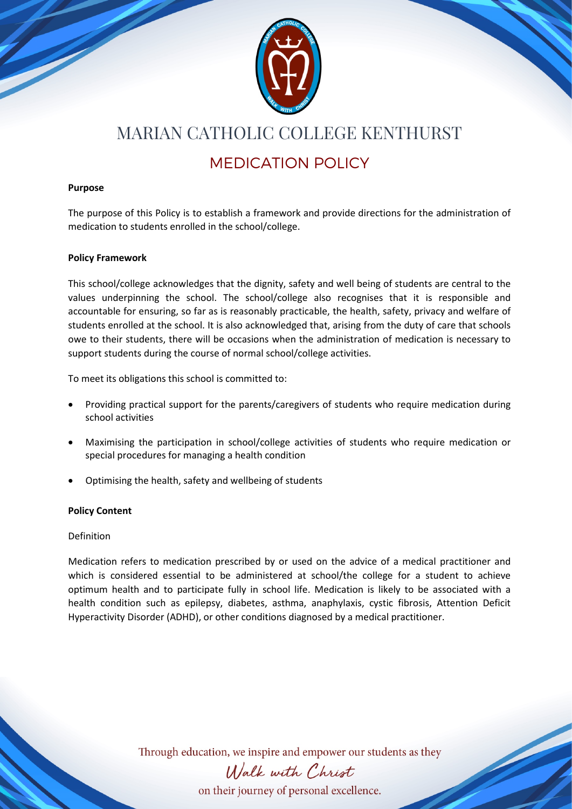

### MARIAN CATHOLIC COLLEGE KENTHURST

### MEDICATION POLICY

#### **Purpose**

The purpose of this Policy is to establish a framework and provide directions for the administration of medication to students enrolled in the school/college.

#### **Policy Framework**

This school/college acknowledges that the dignity, safety and well being of students are central to the values underpinning the school. The school/college also recognises that it is responsible and accountable for ensuring, so far as is reasonably practicable, the health, safety, privacy and welfare of students enrolled at the school. It is also acknowledged that, arising from the duty of care that schools owe to their students, there will be occasions when the administration of medication is necessary to support students during the course of normal school/college activities.

To meet its obligations this school is committed to:

- Providing practical support for the parents/caregivers of students who require medication during school activities
- Maximising the participation in school/college activities of students who require medication or special procedures for managing a health condition
- Optimising the health, safety and wellbeing of students

#### **Policy Content**

#### Definition

Medication refers to medication prescribed by or used on the advice of a medical practitioner and which is considered essential to be administered at school/the college for a student to achieve optimum health and to participate fully in school life. Medication is likely to be associated with a health condition such as epilepsy, diabetes, asthma, anaphylaxis, cystic fibrosis, Attention Deficit Hyperactivity Disorder (ADHD), or other conditions diagnosed by a medical practitioner.

Through education, we inspire and empower our students as they



on their journey of personal excellence.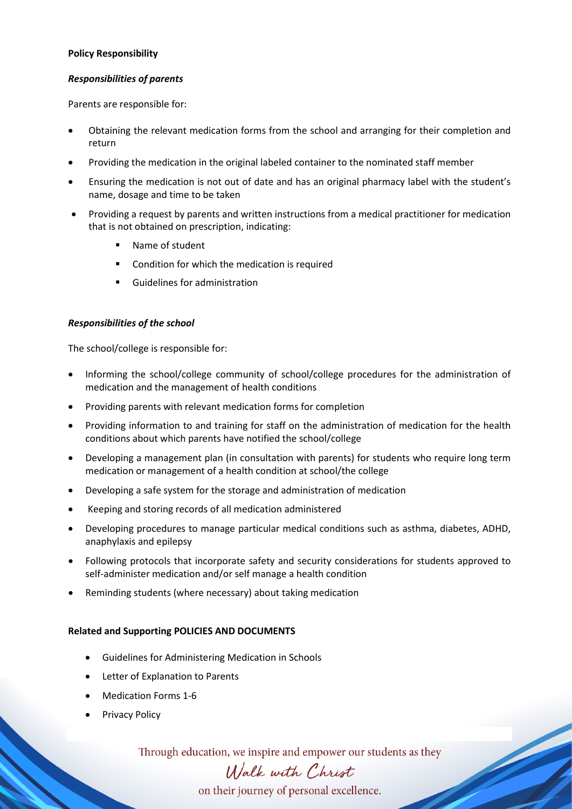#### **Policy Responsibility**

#### *Responsibilities of parents*

Parents are responsible for:

- Obtaining the relevant medication forms from the school and arranging for their completion and return
- Providing the medication in the original labeled container to the nominated staff member
- Ensuring the medication is not out of date and has an original pharmacy label with the student's name, dosage and time to be taken
- Providing a request by parents and written instructions from a medical practitioner for medication that is not obtained on prescription, indicating:
	- **Name of student**
	- Condition for which the medication is required
	- Guidelines for administration

#### *Responsibilities of the school*

The school/college is responsible for:

- Informing the school/college community of school/college procedures for the administration of medication and the management of health conditions
- Providing parents with relevant medication forms for completion
- Providing information to and training for staff on the administration of medication for the health conditions about which parents have notified the school/college
- Developing a management plan (in consultation with parents) for students who require long term medication or management of a health condition at school/the college
- Developing a safe system for the storage and administration of medication
- Keeping and storing records of all medication administered
- Developing procedures to manage particular medical conditions such as asthma, diabetes, ADHD, anaphylaxis and epilepsy
- Following protocols that incorporate safety and security considerations for students approved to self-administer medication and/or self manage a health condition
- Reminding students (where necessary) about taking medication

#### **Related and Supporting POLICIES AND DOCUMENTS**

- Guidelines for Administering Medication in Schools
- Letter of Explanation to Parents
- Medication Forms 1-6
- Privacy Policy

Through education, we inspire and empower our students as they

## Walk with Christ

on their journey of personal excellence.